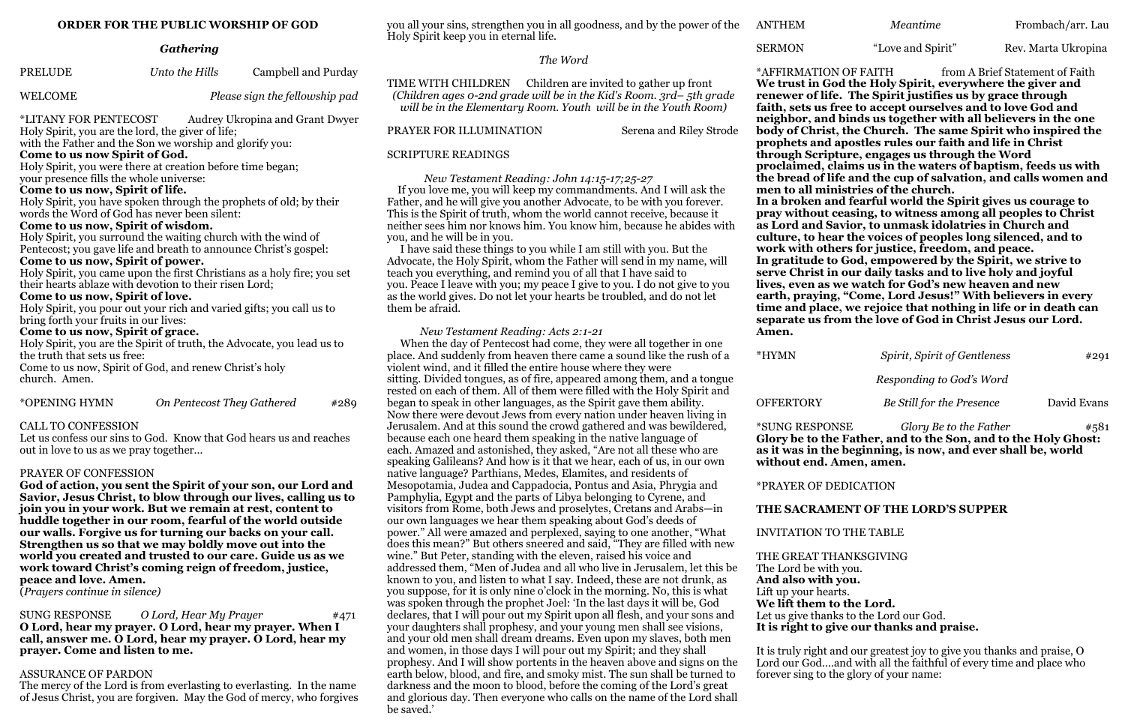#### **ORDER FOR THE PUBLIC WORSHIP OF GOD**

#### *Gathering*

| <b>PRELUDE</b>                                                                                                                                                                                                                                                                                                  | Unto the Hills | Campbell and Purday            |                            |
|-----------------------------------------------------------------------------------------------------------------------------------------------------------------------------------------------------------------------------------------------------------------------------------------------------------------|----------------|--------------------------------|----------------------------|
| <b>WELCOME</b>                                                                                                                                                                                                                                                                                                  |                | Please sign the fellowship pad | T                          |
| *LITANY FOR PENTECOST Audrey Ukropina and Grant Dwyer<br>Holy Spirit, you are the lord, the giver of life;<br>with the Father and the Son we worship and glorify you:<br>Come to us now Spirit of God.<br>Holy Spirit, you were there at creation before time began;<br>your presence fills the whole universe: |                |                                | P<br>S                     |
| Come to us now, Spirit of life.                                                                                                                                                                                                                                                                                 |                |                                |                            |
| Holy Spirit, you have spoken through the prophets of old; by their<br>words the Word of God has never been silent:<br>Come to us now, Spirit of wisdom.<br>Holy Spirit, you surround the waiting church with the wind of<br>Pentecost; you gave life and breath to announce Christ's gospel:                    |                |                                | F<br>T<br>$\mathbf n$<br>y |
| Come to us now, Spirit of power.                                                                                                                                                                                                                                                                                |                |                                | $\boldsymbol{A}$           |
| Holy Spirit, you came upon the first Christians as a holy fire; you set<br>their hearts ablaze with devotion to their risen Lord;<br>Come to us now, Spirit of love.                                                                                                                                            |                |                                | t<br>y <sub>(</sub><br>a:  |
| Holy Spirit, you pour out your rich and varied gifts; you call us to<br>bring forth your fruits in our lives:                                                                                                                                                                                                   |                |                                | tł                         |
| Come to us now, Spirit of grace.                                                                                                                                                                                                                                                                                |                |                                |                            |
| Holy Spirit, you are the Spirit of truth, the Advocate, you lead us to                                                                                                                                                                                                                                          |                |                                |                            |
| the truth that sets us free:                                                                                                                                                                                                                                                                                    |                |                                | $\frac{p}{v}$              |
| Come to us now, Spirit of God, and renew Christ's holy<br>church. Amen.                                                                                                                                                                                                                                         |                |                                | S <sub>1</sub>             |

\*OPENING HYMN *On Pentecost They Gathered* #289

#### CALL TO CONFESSION

 *New Testament Reading: John 14:15-17;25-27* If you love me, you will keep my commandments. And I will ask the Father, and he will give you another Advocate, to be with you forever. This is the Spirit of truth, whom the world cannot receive, because it neither sees him nor knows him. You know him, because he abides with ou, and he will be in you.

Let us confess our sins to God. Know that God hears us and reaches out in love to us as we pray together...

#### PRAYER OF CONFESSION

 I have said these things to you while I am still with you. But the Advocate, the Holy Spirit, whom the Father will send in my name, will each you everything, and remind you of all that I have said to ou. Peace I leave with you; my peace I give to you. I do not give to you s the world gives. Do not let your hearts be troubled, and do not let  $h$ em be afra $\bar{\mathrm{id}}$ .

**God of action, you sent the Spirit of your son, our Lord and Savior, Jesus Christ, to blow through our lives, calling us to join you in your work. But we remain at rest, content to huddle together in our room, fearful of the world outside our walls. Forgive us for turning our backs on your call. Strengthen us so that we may boldly move out into the world you created and trusted to our care. Guide us as we work toward Christ's coming reign of freedom, justice, peace and love. Amen.** 

(*Prayers continue in silence)*

SUNG RESPONSE *O Lord, Hear My Prayer* #471 **O Lord, hear my prayer. O Lord, hear my prayer. When I call, answer me. O Lord, hear my prayer. O Lord, hear my prayer. Come and listen to me.** 

#### ASSURANCE OF PARDON

The mercy of the Lord is from everlasting to everlasting. In the name of Jesus Christ, you are forgiven. May the God of mercy, who forgives you all your sins, strengthen you in all goodness, and by the power of the Holy Spirit keep you in eternal life.

#### *The Word*

TIME WITH CHILDREN Children are invited to gather up front *(Children ages 0-2nd grade will be in the Kid's Room. 3rd– 5th grade will be in the Elementary Room. Youth will be in the Youth Room)* 

PRAYER FOR ILLUMINATION Serena and Riley Strode

#### SCRIPTURE READINGS

*New Testament Reading: Acts 2:1-21*

 When the day of Pentecost had come, they were all together in one place. And suddenly from heaven there came a sound like the rush of a iolent wind, and it filled the entire house where they were itting. Divided tongues, as of fire, appeared among them, and a tongue rested on each of them. All of them were filled with the Holy Spirit and began to speak in other languages, as the Spirit gave them ability. Now there were devout Jews from every nation under heaven living in Jerusalem. And at this sound the crowd gathered and was bewildered, because each one heard them speaking in the native language of each. Amazed and astonished, they asked, "Are not all these who are speaking Galileans? And how is it that we hear, each of us, in our own native language? Parthians, Medes, Elamites, and residents of Mesopotamia, Judea and Cappadocia, Pontus and Asia, Phrygia and Pamphylia, Egypt and the parts of Libya belonging to Cyrene, and visitors from Rome, both Jews and proselytes, Cretans and Arabs—in our own languages we hear them speaking about God's deeds of power." All were amazed and perplexed, saying to one another, "What does this mean?" But others sneered and said, "They are filled with new wine." But Peter, standing with the eleven, raised his voice and addressed them, "Men of Judea and all who live in Jerusalem, let this be known to you, and listen to what I say. Indeed, these are not drunk, as you suppose, for it is only nine o'clock in the morning. No, this is what was spoken through the prophet Joel: 'In the last days it will be, God declares, that I will pour out my Spirit upon all flesh, and your sons and your daughters shall prophesy, and your young men shall see visions, and your old men shall dream dreams. Even upon my slaves, both men and women, in those days I will pour out my Spirit; and they shall prophesy. And I will show portents in the heaven above and signs on the earth below, blood, and fire, and smoky mist. The sun shall be turned to darkness and the moon to blood, before the coming of the Lord's great and glorious day. Then everyone who calls on the name of the Lord shall be saved.'

SERMON "Love and Spirit" Rev. Marta Ukropina

\*AFFIRMATION OF FAITH from A Brief Statement of Faith **We trust in God the Holy Spirit, everywhere the giver and renewer of life. The Spirit justifies us by grace through faith, sets us free to accept ourselves and to love God and neighbor, and binds us together with all believers in the one body of Christ, the Church. The same Spirit who inspired the prophets and apostles rules our faith and life in Christ through Scripture, engages us through the Word proclaimed, claims us in the waters of baptism, feeds us with the bread of life and the cup of salvation, and calls women and men to all ministries of the church.**

**In a broken and fearful world the Spirit gives us courage to pray without ceasing, to witness among all peoples to Christ as Lord and Savior, to unmask idolatries in Church and culture, to hear the voices of peoples long silenced, and to work with others for justice, freedom, and peace.**

**In gratitude to God, empowered by the Spirit, we strive to serve Christ in our daily tasks and to live holy and joyful lives, even as we watch for God's new heaven and new earth, praying, "Come, Lord Jesus!" With believers in every time and place, we rejoice that nothing in life or in death can separate us from the love of God in Christ Jesus our Lord.** 

**Amen.**

\*HYMN *Spirit, Spirit of Gentleness* #291

 *Responding to God's Word*

OFFERTORY *Be Still for the Presence* David Evans

\*SUNG RESPONSE *Glory Be to the Father* #581 **Glory be to the Father, and to the Son, and to the Holy Ghost: as it was in the beginning, is now, and ever shall be, world without end. Amen, amen.**

\*PRAYER OF DEDICATION

#### **THE SACRAMENT OF THE LORD'S SUPPER**

INVITATION TO THE TABLE

THE GREAT THANKSGIVING The Lord be with you. **And also with you.** Lift up your hearts. **We lift them to the Lord.** Let us give thanks to the Lord our God. **It is right to give our thanks and praise.**

It is truly right and our greatest joy to give you thanks and praise, O Lord our God....and with all the faithful of every time and place who forever sing to the glory of your name: